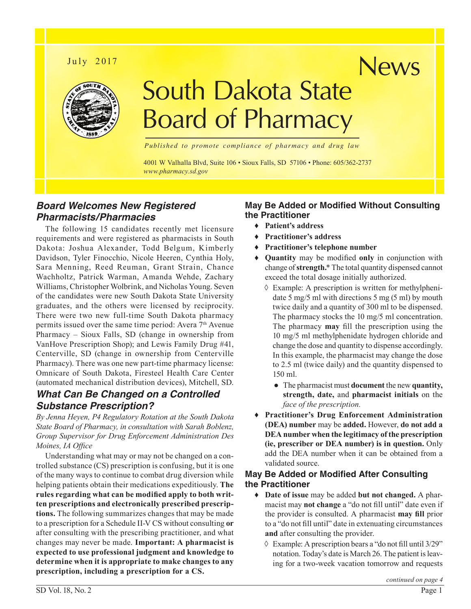## July 2017



# South Dakota State Board of Pharmacy

*Published to promote compliance of pharmacy and drug law*

4001 W Valhalla Blvd, Suite 106 • Sioux Falls, SD 57106 • Phone: 605/362-2737 *<www.pharmacy.sd.gov>*

## *Board Welcomes New Registered Pharmacists/Pharmacies*

The following 15 candidates recently met licensure requirements and were registered as pharmacists in South Dakota: Joshua Alexander, Todd Belgum, Kimberly Davidson, Tyler Finocchio, Nicole Heeren, Cynthia Holy, Sara Menning, Reed Reuman, Grant Strain, Chance Wachholtz, Patrick Warman, Amanda Wehde, Zachary Williams, Christopher Wolbrink, and Nicholas Young. Seven of the candidates were new South Dakota State University graduates, and the others were licensed by reciprocity. There were two new full-time South Dakota pharmacy permits issued over the same time period: Avera 7<sup>th</sup> Avenue Pharmacy – Sioux Falls, SD (change in ownership from VanHove Prescription Shop); and Lewis Family Drug #41, Centerville, SD (change in ownership from Centerville Pharmacy). There was one new part-time pharmacy license: Omnicare of South Dakota, Firesteel Health Care Center (automated mechanical distribution devices), Mitchell, SD.

## *What Can Be Changed on a Controlled Substance Prescription?*

*By Jenna Heyen, P4 Regulatory Rotation at the South Dakota State Board of Pharmacy, in consultation with Sarah Boblenz, Group Supervisor for Drug Enforcement Administration Des Moines, IA Office*

Understanding what may or may not be changed on a controlled substance (CS) prescription is confusing, but it is one of the many ways to continue to combat drug diversion while helping patients obtain their medications expeditiously. **The rules regarding what can be modified apply to both written prescriptions and electronically prescribed prescriptions.** The following summarizes changes that may be made to a prescription for a Schedule II-V CS without consulting **or** after consulting with the prescribing practitioner, and what changes may never be made. **Important: A pharmacist is expected to use professional judgment and knowledge to determine when it is appropriate to make changes to any prescription, including a prescription for a CS.** 

### **May Be Added or Modified Without Consulting the Practitioner**

News

- ♦ **Patient's address**
- ♦ **Practitioner's address**
- **Practitioner's telephone number**
- ♦ **Quantity** may be modified **only** in conjunction with change of **strength.**\* The total quantity dispensed cannot exceed the total dosage initially authorized.
	- $\Diamond$  Example: A prescription is written for methylphenidate 5 mg/5 ml with directions 5 mg (5 ml) by mouth twice daily and a quantity of 300 ml to be dispensed. The pharmacy stocks the 10 mg/5 ml concentration. The pharmacy **may** fill the prescription using the 10 mg/5 ml methylphenidate hydrogen chloride and change the dose and quantity to dispense accordingly. In this example, the pharmacist may change the dose to 2.5 ml (twice daily) and the quantity dispensed to 150 ml.
		- The pharmacist must **document** the new **quantity, strength, date,** and **pharmacist initials** on the *face of the prescription.*
- ♦ **Practitioner's Drug Enforcement Administration (DEA) number** may be **added.** However, **do not add a DEA number when the legitimacy of the prescription (ie, prescriber or DEA number) is in question.** Only add the DEA number when it can be obtained from a validated source.

#### **May Be Added or Modified After Consulting the Practitioner**

- ♦ **Date of issue** may be added **but not changed.** A pharmacist may **not change** a "do not fill until" date even if the provider is consulted. A pharmacist **may fill** prior to a "do not fill until" date in extenuating circumstances **and** after consulting the provider.
	- ◊ Example: A prescription bears a "do not fill until 3/29" notation. Today's date is March 26. The patient is leaving for a two-week vacation tomorrow and requests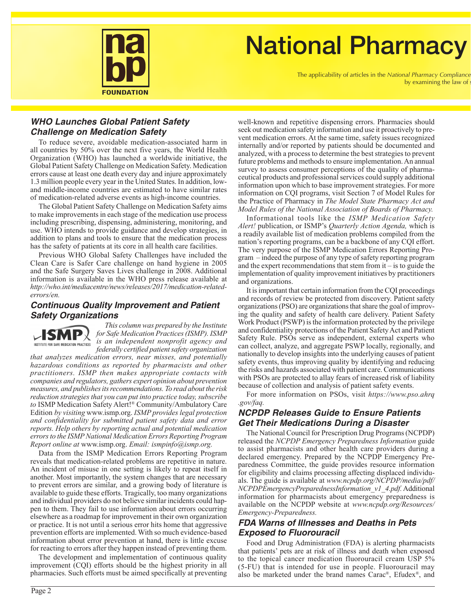

## **National Pharmacy**

The applicability of articles in the *National Pharmacy Compliance* by examining the law of

#### *WHO Launches Global Patient Safety Challenge on Medication Safety*

To reduce severe, avoidable medication-associated harm in all countries by 50% over the next five years, the World Health Organization (WHO) has launched a worldwide initiative, the Global Patient Safety Challenge on Medication Safety. Medication errors cause at least one death every day and injure approximately 1.3 million people every year in the United States. In addition, lowand middle-income countries are estimated to have similar rates of medication-related adverse events as high-income countries.

The Global Patient Safety Challenge on Medication Safety aims to make improvements in each stage of the medication use process including prescribing, dispensing, administering, monitoring, and use. WHO intends to provide guidance and develop strategies, in addition to plans and tools to ensure that the medication process has the safety of patients at its core in all health care facilities.

Previous WHO Global Safety Challenges have included the Clean Care is Safer Care challenge on hand hygiene in 2005 and the Safe Surgery Saves Lives challenge in 2008. Additional information is available in the WHO press release available at *[http://who.int/mediacentre/news/releases/2017/medication-related](http://who.int/mediacentre/news/releases/2017/medication-related-errors/en/)[errors/en.](http://who.int/mediacentre/news/releases/2017/medication-related-errors/en/)*

#### *Continuous Quality Improvement and Patient Safety Organizations*



*This column was prepared by the Institute for Safe Medication Practices (ISMP). ISMP is an independent nonprofit agency and federally certified patient safety organization* 

*that analyzes medication errors, near misses, and potentially hazardous conditions as reported by pharmacists and other practitioners. ISMP then makes appropriate contacts with companies and regulators, gathers expert opinion about prevention measures, and publishes its recommendations. To read about the risk reduction strategies that you can put into practice today, subscribe to* ISMP Medication Safety Alert!® Community/Ambulatory Care Edition *by visiting* www.ismp.org. *ISMP provides legal protection and confidentiality for submitted patient safety data and error reports. Help others by reporting actual and potential medication errors to the ISMP National Medication Errors Reporting Program Report online at* [www.ismp.org.](www.ismp.org) *Email: [ismpinfo@ismp.org.](mailto:ismpinfo@ismp.org)*

Data from the ISMP Medication Errors Reporting Program reveals that medication-related problems are repetitive in nature. An incident of misuse in one setting is likely to repeat itself in another. Most importantly, the system changes that are necessary to prevent errors are similar, and a growing body of literature is available to guide these efforts. Tragically, too many organizations and individual providers do not believe similar incidents could happen to them. They fail to use information about errors occurring elsewhere as a roadmap for improvement in their own organization or practice. It is not until a serious error hits home that aggressive prevention efforts are implemented. With so much evidence-based information about error prevention at hand, there is little excuse for reacting to errors after they happen instead of preventing them.

The development and implementation of continuous quality improvement (CQI) efforts should be the highest priority in all pharmacies. Such efforts must be aimed specifically at preventing well-known and repetitive dispensing errors. Pharmacies should seek out medication safety information and use it proactively to prevent medication errors. At the same time, safety issues recognized internally and/or reported by patients should be documented and analyzed, with a process to determine the best strategies to prevent future problems and methods to ensure implementation. An annual survey to assess consumer perceptions of the quality of pharmaceutical products and professional services could supply additional information upon which to base improvement strategies. For more information on CQI programs, visit Section 7 of Model Rules for the Practice of Pharmacy in *The Model State Pharmacy Act and Model Rules of the National Association of Boards of Pharmacy.*

Informational tools like the *ISMP Medication Safety Alert!* publication, or ISMP's *Quarterly Action Agenda,* which is a readily available list of medication problems compiled from the nation's reporting programs, can be a backbone of any CQI effort. The very purpose of the ISMP Medication Errors Reporting Program – indeed the purpose of any type of safety reporting program and the expert recommendations that stem from it – is to guide the implementation of quality improvement initiatives by practitioners and organizations.

It is important that certain information from the CQI proceedings and records of review be protected from discovery. Patient safety organizations (PSO) are organizations that share the goal of improving the quality and safety of health care delivery. Patient Safety Work Product (PSWP) is the information protected by the privilege and confidentiality protections of the Patient Safety Act and Patient Safety Rule. PSOs serve as independent, external experts who can collect, analyze, and aggregate PSWP locally, regionally, and nationally to develop insights into the underlying causes of patient safety events, thus improving quality by identifying and reducing the risks and hazards associated with patient care. Communications with PSOs are protected to allay fears of increased risk of liability because of collection and analysis of patient safety events.

For more information on PSOs, visit *[https://www.pso.ahrq](https://www.pso.ahrq.gov/faq) [.gov/faq.](https://www.pso.ahrq.gov/faq)*

## *NCPDP Releases Guide to Ensure Patients Get Their Medications During a Disaster*

The National Council for Prescription Drug Programs (NCPDP) released the *NCPDP Emergency Preparedness Information* guide to assist pharmacists and other health care providers during a declared emergency. Prepared by the NCPDP Emergency Preparedness Committee, the guide provides resource information for eligibility and claims processing affecting displaced individuals. The guide is available at *[www.ncpdp.org/NCPDP/media/pdf/](www.ncpdp.org/NCPDP/media/pdf/NCPDPEmergencyPreparednessInformation_v1_4.pdf) [NCPDPEmergencyPreparednessInformation\\_v1\\_4.pdf.](www.ncpdp.org/NCPDP/media/pdf/NCPDPEmergencyPreparednessInformation_v1_4.pdf)* Additional information for pharmacists about emergency preparedness is available on the NCPDP website at *[www.ncpdp.org/Resources/](www.ncpdp.org/Resources/Emergency-Preparedness) [Emergency-Preparedness](www.ncpdp.org/Resources/Emergency-Preparedness).*

#### *FDA Warns of Illnesses and Deaths in Pets Exposed to Fluorouracil*

Food and Drug Administration (FDA) is alerting pharmacists that patients' pets are at risk of illness and death when exposed to the topical cancer medication fluorouracil cream USP 5% (5-FU) that is intended for use in people. Fluorouracil may also be marketed under the brand names Carac®, Efudex®, and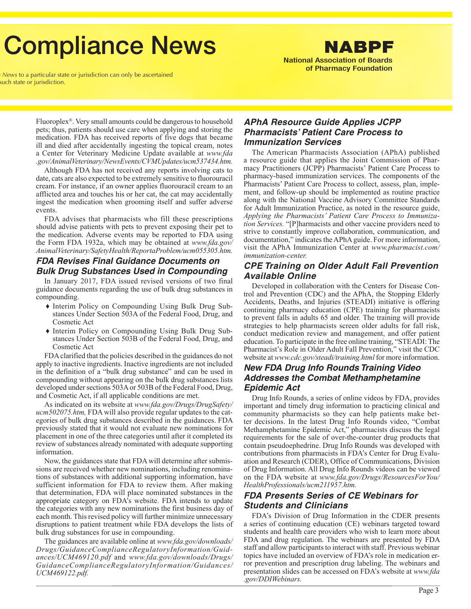## **Compliance News**

National Association of Boards of Pharmacy Foundation

NABPF

News to a particular state or jurisdiction can only be ascertained such state or jurisdiction.

> Fluoroplex®. Very small amounts could be dangerous to household pets; thus, patients should use care when applying and storing the medication. FDA has received reports of five dogs that became ill and died after accidentally ingesting the topical cream, notes a Center for Veterinary Medicine Update available at *[www.fda](www.fda.gov/AnimalVeterinary/NewsEvents/CVMUpdates/ ucm537434.htm) [.gov/AnimalVeterinary/NewsEvents/CVMUpdates/ucm537434.htm.](www.fda.gov/AnimalVeterinary/NewsEvents/CVMUpdates/ ucm537434.htm)*

> Although FDA has not received any reports involving cats to date, cats are also expected to be extremely sensitive to fluorouracil cream. For instance, if an owner applies fluorouracil cream to an afflicted area and touches his or her cat, the cat may accidentally ingest the medication when grooming itself and suffer adverse events.

> FDA advises that pharmacists who fill these prescriptions should advise patients with pets to prevent exposing their pet to the medication. Adverse events may be reported to FDA using the Form FDA 1932a, which may be obtained at *[www.fda.gov/](www.fda.gov/AnimalVeterinary/SafetyHealth/ReportaProblem/ucm055305.htm) [AnimalVeterinary/SafetyHealth/ReportaProblem/ucm055305.htm.](www.fda.gov/AnimalVeterinary/SafetyHealth/ReportaProblem/ucm055305.htm)*

#### *FDA Revises Final Guidance Documents on Bulk Drug Substances Used in Compounding*

In January 2017, FDA issued revised versions of two final guidance documents regarding the use of bulk drug substances in compounding.

- ♦ Interim Policy on Compounding Using Bulk Drug Substances Under Section 503A of the Federal Food, Drug, and Cosmetic Act
- ♦ Interim Policy on Compounding Using Bulk Drug Substances Under Section 503B of the Federal Food, Drug, and Cosmetic Act

FDA clarified that the policies described in the guidances do not apply to inactive ingredients. Inactive ingredients are not included in the definition of a "bulk drug substance" and can be used in compounding without appearing on the bulk drug substances lists developed under sections 503A or 503B of the Federal Food, Drug, and Cosmetic Act, if all applicable conditions are met.

As indicated on its website at *[www.fda.gov/Drugs/DrugSafety/](www.fda.gov/Drugs/DrugSafety/ucm502075.htm) [ucm502075.htm](www.fda.gov/Drugs/DrugSafety/ucm502075.htm),* FDA will also provide regular updates to the categories of bulk drug substances described in the guidances. FDA previously stated that it would not evaluate new nominations for placement in one of the three categories until after it completed its review of substances already nominated with adequate supporting information.

Now, the guidances state that FDA will determine after submissions are received whether new nominations, including renominations of substances with additional supporting information, have sufficient information for FDA to review them. After making that determination, FDA will place nominated substances in the appropriate category on FDA's website. FDA intends to update the categories with any new nominations the first business day of each month. This revised policy will further minimize unnecessary disruptions to patient treatment while FDA develops the lists of bulk drug substances for use in compounding.

The guidances are available online at *[www.fda.gov/downloads/](www.fda.gov/downloads/Drugs/GuidanceComplianceRegulatoryInformation/Guidances/UCM469120.pdf) [Drugs/GuidanceComplianceRegulatoryInformation/Guid](www.fda.gov/downloads/Drugs/GuidanceComplianceRegulatoryInformation/Guidances/UCM469120.pdf)[ances/UCM469120.pdf](www.fda.gov/downloads/Drugs/GuidanceComplianceRegulatoryInformation/Guidances/UCM469120.pdf)* and *[www.fda.gov/downloads/Drugs/](www.fda.gov/downloads/Drugs/GuidanceComplianceRegulatoryInformation/Guidances/UCM469122.pdf) [GuidanceComplianceRegulatoryInformation/Guidances/](www.fda.gov/downloads/Drugs/GuidanceComplianceRegulatoryInformation/Guidances/UCM469122.pdf) [UCM469122.pdf.](www.fda.gov/downloads/Drugs/GuidanceComplianceRegulatoryInformation/Guidances/UCM469122.pdf)* 

#### *APhA Resource Guide Applies JCPP Pharmacists' Patient Care Process to Immunization Services*

The American Pharmacists Association (APhA) published a resource guide that applies the Joint Commission of Pharmacy Practitioners (JCPP) Pharmacists' Patient Care Process to pharmacy-based immunization services. The components of the Pharmacists' Patient Care Process to collect, assess, plan, implement, and follow-up should be implemented as routine practice along with the National Vaccine Advisory Committee Standards for Adult Immunization Practice, as noted in the resource guide, *Applying the Pharmacists' Patient Care Process to Immunization Services.* "[P]harmacists and other vaccine providers need to strive to constantly improve collaboration, communication, and documentation," indicates the APhA guide. For more information, visit the APhA Immunization Center at *[www.pharmacist.com/](www.pharmacist.com/immunization-center) [immunization-center.](www.pharmacist.com/immunization-center)*

#### *CPE Training on Older Adult Fall Prevention Available Online*

Developed in collaboration with the Centers for Disease Control and Prevention (CDC) and the APhA, the Stopping Elderly Accidents, Deaths, and Injuries (STEADI) initiative is offering continuing pharmacy education (CPE) training for pharmacists to prevent falls in adults 65 and older. The training will provide strategies to help pharmacists screen older adults for fall risk, conduct medication review and management, and offer patient education. To participate in the free online training, "STEADI: The Pharmacist's Role in Older Adult Fall Prevention," visit the CDC website at *<www.cdc.gov/steadi/training.html>* for more information.

#### *New FDA Drug Info Rounds Training Video Addresses the Combat Methamphetamine Epidemic Act*

Drug Info Rounds, a series of online videos by FDA, provides important and timely drug information to practicing clinical and community pharmacists so they can help patients make better decisions. In the latest Drug Info Rounds video, "Combat Methamphetamine Epidemic Act," pharmacists discuss the legal requirements for the sale of over-the-counter drug products that contain pseudoephedrine. Drug Info Rounds was developed with contributions from pharmacists in FDA's Center for Drug Evaluation and Research (CDER), Office of Communications, Division of Drug Information. All Drug Info Rounds videos can be viewed on the FDA website at *[www.fda.gov/Drugs/ResourcesForYou/](www.fda.gov/Drugs/ResourcesForYou/HealthProfessionals/ucm211957.htm) [HealthProfessionals/ucm211957.htm](www.fda.gov/Drugs/ResourcesForYou/HealthProfessionals/ucm211957.htm).*

#### *FDA Presents Series of CE Webinars for Students and Clinicians*

FDA's Division of Drug Information in the CDER presents a series of continuing education (CE) webinars targeted toward students and health care providers who wish to learn more about FDA and drug regulation. The webinars are presented by FDA staff and allow participants to interact with staff. Previous webinar topics have included an overview of FDA's role in medication error prevention and prescription drug labeling. The webinars and presentation slides can be accessed on FDA's website at *[www.fda](www.fda.gov/DDIWebinars) [.gov/DDIWebinars.](www.fda.gov/DDIWebinars)*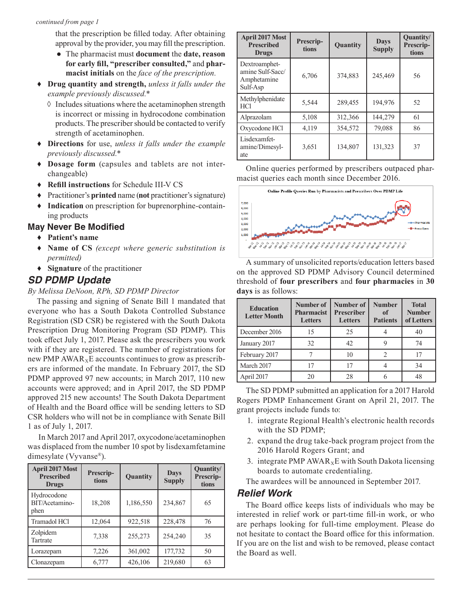that the prescription be filled today. After obtaining approval by the provider, you may fill the prescription.

- The pharmacist must **document** the **date, reason for early fill, "prescriber consulted,"** and **pharmacist initials** on the *face of the prescription.*
- ♦ **Drug quantity and strength,** *unless it falls under the example previously discussed.*\*
	- $\Diamond$  Includes situations where the acetaminophen strength is incorrect or missing in hydrocodone combination products. The prescriber should be contacted to verify strength of acetaminophen.
- ♦ **Directions** for use, *unless it falls under the example previously discussed.*\*
- ♦ **Dosage form** (capsules and tablets are not interchangeable)
- ♦ **Refill instructions** for Schedule III-V CS
- ♦ Practitioner's **printed** name (**not** practitioner's signature)
- ♦ **Indication** on prescription for buprenorphine-containing products

#### **May Never Be Modified**

- ♦ **Patient's name**
- ♦ **Name of CS** *(except where generic substitution is permitted)*
- ♦ **Signature** of the practitioner

#### *SD PDMP Update*

*By Melissa DeNoon, RPh, SD PDMP Director*

The passing and signing of Senate Bill 1 mandated that everyone who has a South Dakota Controlled Substance Registration (SD CSR) be registered with the South Dakota Prescription Drug Monitoring Program (SD PDMP). This took effect July 1, 2017. Please ask the prescribers you work with if they are registered. The number of registrations for new PMP  $AWAR_xE$  accounts continues to grow as prescribers are informed of the mandate. In February 2017, the SD PDMP approved 97 new accounts; in March 2017, 110 new accounts were approved; and in April 2017, the SD PDMP approved 215 new accounts! The South Dakota Department of Health and the Board office will be sending letters to SD CSR holders who will not be in compliance with Senate Bill 1 as of July 1, 2017.

 In March 2017 and April 2017, oxycodone/acetaminophen was displaced from the number 10 spot by lisdexamfetamine dimesylate (Vyvanse®).

| <b>April 2017 Most</b><br><b>Prescribed</b><br><b>Drugs</b> | Prescrip-<br>tions | Quantity  | <b>Days</b><br><b>Supply</b> | Quantity/<br>Prescrip-<br>tions |
|-------------------------------------------------------------|--------------------|-----------|------------------------------|---------------------------------|
| Hydrocodone<br>BIT/Acetamino-<br>phen                       | 18,208             | 1,186,550 | 234,867                      | 65                              |
| Tramadol HCl                                                | 12,064             | 922,518   | 228,478                      | 76                              |
| Zolpidem<br>Tartrate                                        | 7,338              | 255,273   | 254,240                      | 35                              |
| Lorazepam                                                   | 7,226              | 361,002   | 177,732                      | 50                              |
| Clonazepam                                                  | 6,777              | 426,106   | 219,680                      | 63                              |

| <b>April 2017 Most</b><br><b>Prescribed</b><br><b>Drugs</b>  | Prescrip-<br>tions | Quantity | <b>Days</b><br><b>Supply</b> | <b>Quantity</b><br>Prescrip-<br>tions |
|--------------------------------------------------------------|--------------------|----------|------------------------------|---------------------------------------|
| Dextroamphet-<br>amine Sulf-Sacc/<br>Amphetamine<br>Sulf-Asp | 6,706              | 374,883  | 245,469                      | 56                                    |
| Methylphenidate<br><b>HCl</b>                                | 5,544              | 289,455  | 194,976                      | 52                                    |
| Alprazolam                                                   | 5,108              | 312,366  | 144,279                      | 61                                    |
| Oxycodone HCl                                                | 4,119              | 354,572  | 79,088                       | 86                                    |
| Lisdexamfet-<br>amine/Dimesyl-<br>ate                        | 3,651              | 134,807  | 131,323                      | 37                                    |

Online queries performed by prescribers outpaced pharmacist queries each month since December 2016.



A summary of unsolicited reports/education letters based on the approved SD PDMP Advisory Council determined threshold of **four prescribers** and **four pharmacies** in **30 days** is as follows:

| <b>Education</b><br><b>Letter Month</b> | Number of<br><b>Pharmacist</b><br><b>Letters</b> | Number of<br><b>Prescriber</b><br><b>Letters</b> | <b>Number</b><br>of<br><b>Patients</b> | <b>Total</b><br><b>Number</b><br>of Letters |
|-----------------------------------------|--------------------------------------------------|--------------------------------------------------|----------------------------------------|---------------------------------------------|
| December 2016                           | 15                                               | 25                                               |                                        | 40                                          |
| January 2017                            | 32                                               | 42.                                              |                                        | 74                                          |
| February 2017                           |                                                  | 10                                               |                                        |                                             |
| March 2017                              | 17                                               | 17                                               |                                        | 34                                          |
| April 2017                              | 20                                               | 28                                               |                                        | 48                                          |

The SD PDMP submitted an application for a 2017 Harold Rogers PDMP Enhancement Grant on April 21, 2017. The grant projects include funds to:

- 1. integrate Regional Health's electronic health records with the SD PDMP;
- 2. expand the drug take-back program project from the 2016 Harold Rogers Grant; and
- 3. integrate PMP  $AWAR_xE$  with South Dakota licensing boards to automate credentialing.
- The awardees will be announced in September 2017.

#### *Relief Work*

The Board office keeps lists of individuals who may be interested in relief work or part-time fill-in work, or who are perhaps looking for full-time employment. Please do not hesitate to contact the Board office for this information. If you are on the list and wish to be removed, please contact the Board as well.